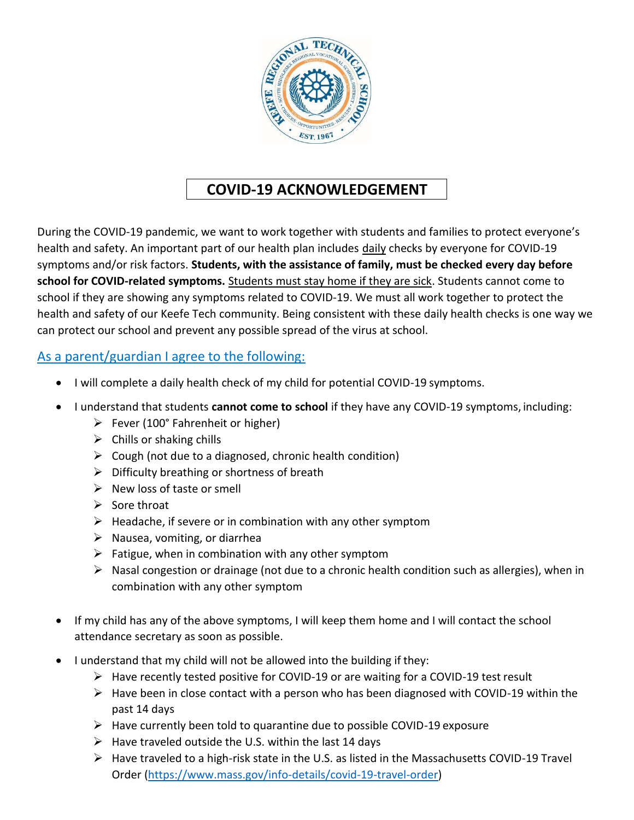

# **COVID-19 ACKNOWLEDGEMENT**

During the COVID-19 pandemic, we want to work together with students and families to protect everyone's health and safety. An important part of our health plan includes daily checks by everyone for COVID-19 symptoms and/or risk factors. **Students, with the assistance of family, must be checked every day before school for COVID-related symptoms.** Students must stay home if they are sick. Students cannot come to school if they are showing any symptoms related to COVID-19. We must all work together to protect the health and safety of our Keefe Tech community. Being consistent with these daily health checks is one way we can protect our school and prevent any possible spread of the virus at school.

# As a parent/guardian I agree to the following:

- I will complete a daily health check of my child for potential COVID-19 symptoms.
- I understand that students **cannot come to school** if they have any COVID-19 symptoms, including:
	- $\triangleright$  Fever (100° Fahrenheit or higher)
	- $\triangleright$  Chills or shaking chills
	- $\triangleright$  Cough (not due to a diagnosed, chronic health condition)
	- $\triangleright$  Difficulty breathing or shortness of breath
	- $\triangleright$  New loss of taste or smell
	- $\triangleright$  Sore throat
	- $\triangleright$  Headache, if severe or in combination with any other symptom
	- $\triangleright$  Nausea, vomiting, or diarrhea
	- $\triangleright$  Fatigue, when in combination with any other symptom
	- $\triangleright$  Nasal congestion or drainage (not due to a chronic health condition such as allergies), when in combination with any other symptom
- If my child has any of the above symptoms, I will keep them home and I will contact the school attendance secretary as soon as possible.
- I understand that my child will not be allowed into the building if they:
	- $\triangleright$  Have recently tested positive for COVID-19 or are waiting for a COVID-19 test result
	- $\triangleright$  Have been in close contact with a person who has been diagnosed with COVID-19 within the past 14 days
	- $\triangleright$  Have currently been told to quarantine due to possible COVID-19 exposure
	- $\triangleright$  Have traveled outside the U.S. within the last 14 days
	- $\triangleright$  Have traveled to a high-risk state in the U.S. as listed in the Massachusetts COVID-19 Travel Order [\(https://www.mass.gov/info-details/covid-19-travel-order\)](https://www.mass.gov/info-details/covid-19-travel-order)